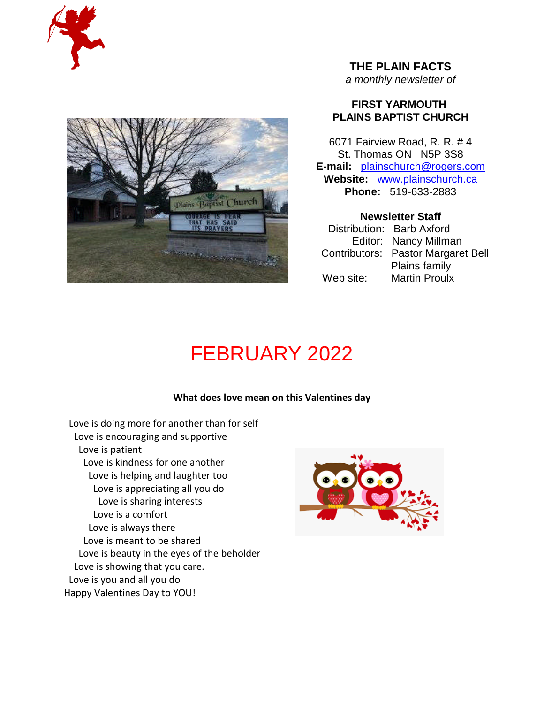



**THE PLAIN FACTS** *a monthly newsletter of*

#### **FIRST YARMOUTH PLAINS BAPTIST CHURCH**

6071 Fairview Road, R. R. # 4 St. Thomas ON N5P 3S8 **E-mail:** plainschurch@rogers.com **Website:** www.plainschurch.ca **Phone:** 519-633-2883

## **Newsletter Staff**

Distribution: Barb Axford Editor: Nancy Millman Contributors: Pastor Margaret Bell Plains family Web site: Martin Proulx

# FEBRUARY 2022

#### **What does love mean on this Valentines day**

Love is doing more for another than for self Love is encouraging and supportive Love is patient Love is kindness for one another Love is helping and laughter too Love is appreciating all you do Love is sharing interests Love is a comfort Love is always there Love is meant to be shared Love is beauty in the eyes of the beholder Love is showing that you care. Love is you and all you do Happy Valentines Day to YOU!

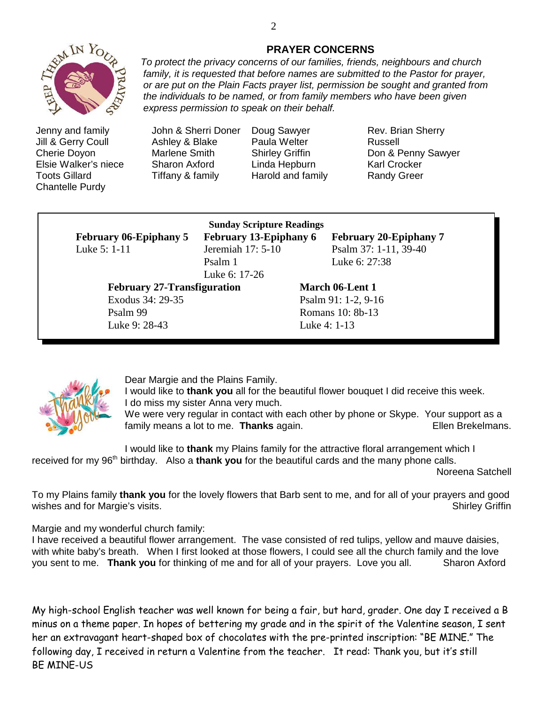

Jenny and family John & Sherri Doner Doug Sawyer Rev. Brian Sherry Jill & Gerry Coull **Ashley & Blake** Paula Welter Russell Elsie Walker's niece Sharon Axford Linda Hepburn Karl Crocker Toots Gillard **Tiffany & family** Harold and family Randy Greer Chantelle Purdy

**PRAYER CONCERNS**

*To protect the privacy concerns of our families, friends, neighbours and church family, it is requested that before names are submitted to the Pastor for prayer, or are put on the Plain Facts prayer list, permission be sought and granted from the individuals to be named, or from family members who have been given express permission to speak on their behalf.*

Cherie Doyon **Marlene Smith** Shirley Griffin **Don & Penny Sawyer** 

**Sunday Scripture Readings February 06-Epiphany 5 February 13-Epiphany 6 February 20-Epiphany 7** Luke 5: 1-11 **Jeremiah 17: 5-10** Psalm 37: 1-11, 39-40 Psalm 1 Luke 6: 27:38 Luke 6: 17-26

### **February 27-Transfiguration March 06**-**Lent 1**

Luke 9: 28-43 Luke 4: 1-13

Exodus 34: 29-35 Psalm 91: 1-2, 9-16 Psalm 99 Romans 10: 8b-13



Dear Margie and the Plains Family.

I would like to **thank you** all for the beautiful flower bouquet I did receive this week. I do miss my sister Anna very much.

We were very regular in contact with each other by phone or Skype. Your support as a family means a lot to me. **Thanks** again. The same of the set of the Brekelmans.

I would like to **thank** my Plains family for the attractive floral arrangement which I received for my 96<sup>th</sup> birthday. Also a **thank you** for the beautiful cards and the many phone calls.

Noreena Satchell

To my Plains family **thank you** for the lovely flowers that Barb sent to me, and for all of your prayers and good wishes and for Margie's visits. Shirley Griffin Shirley Griffin Shirley Griffin Shirley Griffin

Margie and my wonderful church family:

I have received a beautiful flower arrangement. The vase consisted of red tulips, yellow and mauve daisies, with white baby's breath. When I first looked at those flowers, I could see all the church family and the love you sent to me. **Thank you** for thinking of me and for all of your prayers. Love you all. Sharon Axford

My high-school English teacher was well known for being a fair, but hard, grader. One day I received a B minus on a theme paper. In hopes of bettering my grade and in the spirit of the Valentine season, I sent her an extravagant heart-shaped box of chocolates with the pre-printed inscription: "BE MINE." The following day, I received in return a Valentine from the teacher. It read: Thank you, but it's still BE MINE-US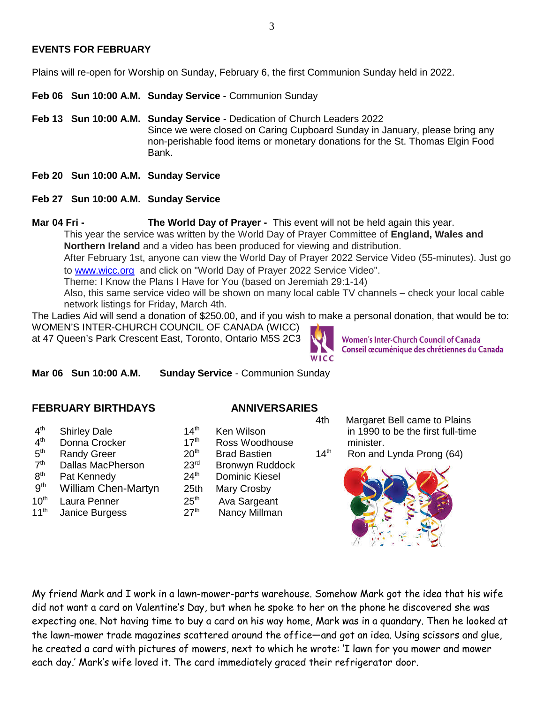#### **EVENTS FOR FEBRUARY**

Plains will re-open for Worship on Sunday, February 6, the first Communion Sunday held in 2022.

**Feb 06 Sun 10:00 A.M. Sunday Service -** Communion Sunday

- **Feb 13 Sun 10:00 A.M. Sunday Service** Dedication of Church Leaders 2022 Since we were closed on Caring Cupboard Sunday in January, please bring any non-perishable food items or monetary donations for the St. Thomas Elgin Food Bank.
- **Feb 20 Sun 10:00 A.M. Sunday Service**

#### **Feb 27 Sun 10:00 A.M. Sunday Service**

**Mar 04 Fri - The World Day of Prayer -** This event will not be held again this year. This year the service was written by the World Day of Prayer Committee of **England, Wales and Northern Ireland** and a video has been produced for viewing and distribution.

After February 1st, anyone can view the World Day of Prayer 2022 Service Video (55-minutes). Just go to www.wicc.org and click on "World Day of Prayer 2022 Service Video".

Theme: I Know the Plans I Have for You (based on Jeremiah 29:1-14)

Also, this same service video will be shown on many local cable TV channels – check your local cable network listings for Friday, March 4th.

The Ladies Aid will send a donation of \$250.00, and if you wish to make a personal donation, that would be to:

WOMEN'S INTER-CHURCH COUNCIL OF CANADA (WICC) at 47 Queen's Park Crescent East, Toronto, Ontario M5S 2C3



Women's Inter-Church Council of Canada Conseil œcuménique des chrétiennes du Canada

**Mar 06 Sun 10:00 A.M. Sunday Service** - Communion Sunday

#### **FEBRUARY BIRTHDAYS ANNIVERSARIES**

#### $4<sup>th</sup>$

- $4<sup>th</sup>$
- $5<sup>th</sup>$
- $7<sup>th</sup>$
- $8<sup>th</sup>$
- $9<sup>th</sup>$ William Chen-Martyn 25th Mary Crosby
- 
- 

Donna Crocker 17<sup>th</sup> Ross Woodhouse minister. Dallas MacPherson 23<sup>rd</sup> Bronwyn Ruddock Pat Kennedy 24<sup>th</sup> Dominic Kiesel 10<sup>th</sup> Laura Penner 25<sup>th</sup> Ava Sargeant 11<sup>th</sup> Janice Burgess 27<sup>th</sup> Nancy Millman

4th Margaret Bell came to Plains Shirley Dale  $14<sup>th</sup>$  Ken Wilson in 1990 to be the first full-time

Randy Greer 20<sup>th</sup> Brad Bastien 14<sup>th</sup> Ron and Lynda Prong (64)



My friend Mark and I work in a lawn-mower-parts warehouse. Somehow Mark got the idea that his wife did not want a card on Valentine's Day, but when he spoke to her on the phone he discovered she was expecting one. Not having time to buy a card on his way home, Mark was in a quandary. Then he looked at the lawn-mower trade magazines scattered around the office—and got an idea. Using scissors and glue, he created a card with pictures of mowers, next to which he wrote: 'I lawn for you mower and mower each day.' Mark's wife loved it. The card immediately graced their refrigerator door.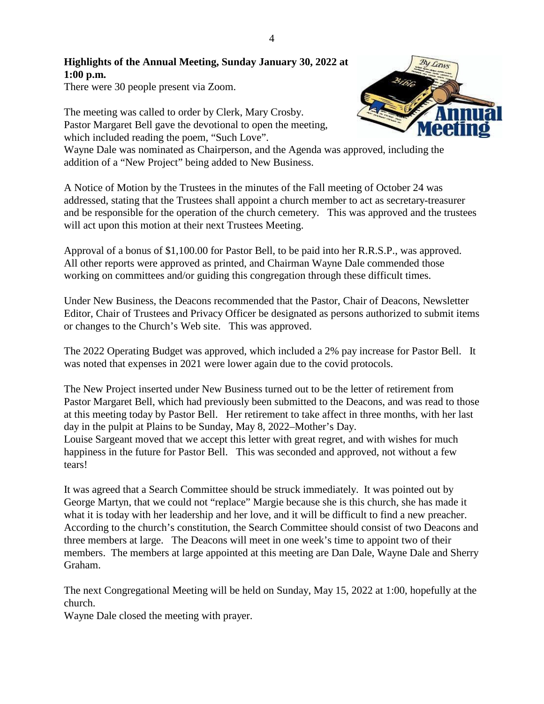There were 30 people present via Zoom.

The meeting was called to order by Clerk, Mary Crosby. Pastor Margaret Bell gave the devotional to open the meeting, which included reading the poem, "Such Love".



Wayne Dale was nominated as Chairperson, and the Agenda was approved, including the addition of a "New Project" being added to New Business.

A Notice of Motion by the Trustees in the minutes of the Fall meeting of October 24 was addressed, stating that the Trustees shall appoint a church member to act as secretary-treasurer and be responsible for the operation of the church cemetery. This was approved and the trustees will act upon this motion at their next Trustees Meeting.

Approval of a bonus of \$1,100.00 for Pastor Bell, to be paid into her R.R.S.P., was approved. All other reports were approved as printed, and Chairman Wayne Dale commended those working on committees and/or guiding this congregation through these difficult times.

Under New Business, the Deacons recommended that the Pastor, Chair of Deacons, Newsletter Editor, Chair of Trustees and Privacy Officer be designated as persons authorized to submit items or changes to the Church's Web site. This was approved.

The 2022 Operating Budget was approved, which included a 2% pay increase for Pastor Bell. It was noted that expenses in 2021 were lower again due to the covid protocols.

The New Project inserted under New Business turned out to be the letter of retirement from Pastor Margaret Bell, which had previously been submitted to the Deacons, and was read to those at this meeting today by Pastor Bell. Her retirement to take affect in three months, with her last day in the pulpit at Plains to be Sunday, May 8, 2022–Mother's Day. Louise Sargeant moved that we accept this letter with great regret, and with wishes for much happiness in the future for Pastor Bell. This was seconded and approved, not without a few tears!

It was agreed that a Search Committee should be struck immediately. It was pointed out by George Martyn, that we could not "replace" Margie because she is this church, she has made it what it is today with her leadership and her love, and it will be difficult to find a new preacher. According to the church's constitution, the Search Committee should consist of two Deacons and three members at large. The Deacons will meet in one week's time to appoint two of their members. The members at large appointed at this meeting are Dan Dale, Wayne Dale and Sherry Graham.

The next Congregational Meeting will be held on Sunday, May 15, 2022 at 1:00, hopefully at the church.

Wayne Dale closed the meeting with prayer.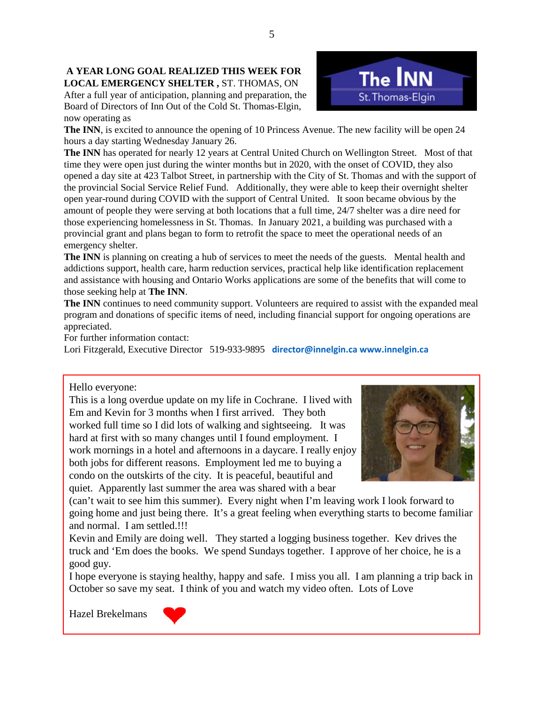**A YEAR LONG GOAL REALIZED THIS WEEK FOR LOCAL EMERGENCY SHELTER ,** ST. THOMAS, ON

After a full year of anticipation, planning and preparation, the Board of Directors of Inn Out of the Cold St. Thomas-Elgin, now operating as

**The INN**, is excited to announce the opening of 10 Princess Avenue. The new facility will be open 24 hours a day starting Wednesday January 26.

**The INN** has operated for nearly 12 years at Central United Church on Wellington Street. Most of that time they were open just during the winter months but in 2020, with the onset of COVID, they also opened a day site at 423 Talbot Street, in partnership with the City of St. Thomas and with the support of the provincial Social Service Relief Fund. Additionally, they were able to keep their overnight shelter open year-round during COVID with the support of Central United. It soon became obvious by the amount of people they were serving at both locations that a full time, 24/7 shelter was a dire need for those experiencing homelessness in St. Thomas. In January 2021, a building was purchased with a provincial grant and plans began to form to retrofit the space to meet the operational needs of an emergency shelter.

**The INN** is planning on creating a hub of services to meet the needs of the guests. Mental health and addictions support, health care, harm reduction services, practical help like identification replacement and assistance with housing and Ontario Works applications are some of the benefits that will come to those seeking help at **The INN**.

The INN continues to need community support. Volunteers are required to assist with the expanded meal program and donations of specific items of need, including financial support for ongoing operations are appreciated.

For further information contact:

Lori Fitzgerald, Executive Director 519-933-9895 **director@innelgin.ca www.innelgin.ca**

Hello everyone:

This is a long overdue update on my life in Cochrane. I lived with Em and Kevin for 3 months when I first arrived. They both worked full time so I did lots of walking and sightseeing. It was hard at first with so many changes until I found employment. I work mornings in a hotel and afternoons in a daycare. I really enjoy both jobs for different reasons. Employment led me to buying a condo on the outskirts of the city. It is peaceful, beautiful and quiet. Apparently last summer the area was shared with a bear

(can't wait to see him this summer). Every night when I'm leaving work I look forward to going home and just being there. It's a great feeling when everything starts to become familiar and normal. I am settled.!!!

Kevin and Emily are doing well. They started a logging business together. Kev drives the truck and 'Em does the books. We spend Sundays together. I approve of her choice, he is a good guy.

I hope everyone is staying healthy, happy and safe. I miss you all. I am planning a trip back in October so save my seat. I think of you and watch my video often. Lots of Love

Hazel Brekelmans





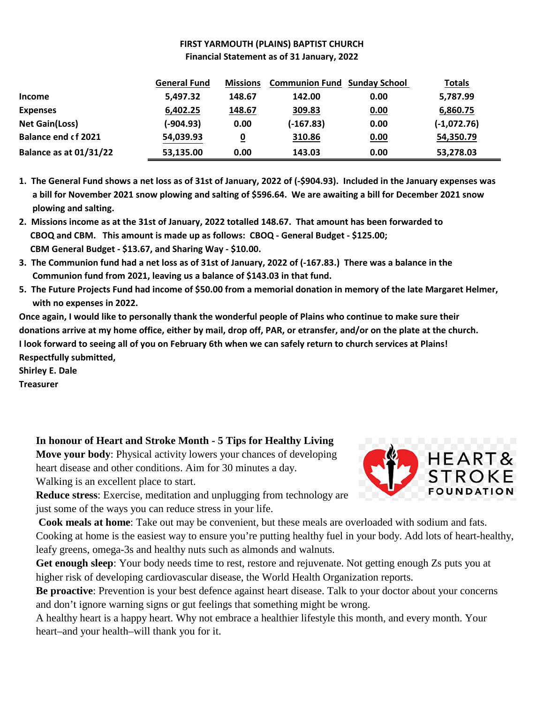#### **FIRST YARMOUTH (PLAINS) BAPTIST CHURCH Financial Statement as of 31 January, 2022**

|                               | <b>General Fund</b> | <b>Missions</b> | <b>Communion Fund Sunday School</b> |      | <b>Totals</b> |
|-------------------------------|---------------------|-----------------|-------------------------------------|------|---------------|
| <b>Income</b>                 | 5,497.32            | 148.67          | 142.00                              | 0.00 | 5,787.99      |
| <b>Expenses</b>               | 6,402.25            | 148.67          | 309.83                              | 0.00 | 6,860.75      |
| <b>Net Gain(Loss)</b>         | (-904.93)           | 0.00            | $(-167.83)$                         | 0.00 | $(-1,072.76)$ |
| Balance end cf 2021           | 54,039.93           | <u>0</u>        | 310.86                              | 0.00 | 54,350.79     |
| <b>Balance as at 01/31/22</b> | 53,135.00           | 0.00            | 143.03                              | 0.00 | 53,278.03     |

**1. The General Fund shows a net loss as of 31st of January, 2022 of (-\$904.93). Included in the January expenses was a bill for November 2021 snow plowing and salting of \$596.64. We are awaiting a bill for December 2021 snow plowing and salting.** 

**2. Missions income as at the 31st of January, 2022 totalled 148.67. That amount has been forwarded to CBOQ and CBM. This amount is made up as follows: CBOQ - General Budget - \$125.00; CBM General Budget - \$13.67, and Sharing Way - \$10.00.**

- **3. The Communion fund had a net loss as of 31st of January, 2022 of (-167.83.) There was a balance in the Communion fund from 2021, leaving us a balance of \$143.03 in that fund.**
- **5. The Future Projects Fund had income of \$50.00 from a memorial donation in memory of the late Margaret Helmer, with no expenses in 2022.**

**Once again, I would like to personally thank the wonderful people of Plains who continue to make sure their donations arrive at my home office, either by mail, drop off, PAR, or etransfer, and/or on the plate at the church. I look forward to seeing all of you on February 6th when we can safely return to church services at Plains! Respectfully submitted,**

**Shirley E. Dale Treasurer**

#### **In honour of Heart and Stroke Month - 5 Tips for Healthy Living**

**Move your body**: Physical activity lowers your chances of developing heart disease and other conditions. Aim for 30 minutes a day. Walking is an excellent place to start.



**Reduce stress**: Exercise, meditation and unplugging from technology are just some of the ways you can reduce stress in your life.

**Cook meals at home**: Take out may be convenient, but these meals are overloaded with sodium and fats. Cooking at home is the easiest way to ensure you're putting healthy fuel in your body. Add lots of heart-healthy, leafy greens, omega-3s and healthy nuts such as almonds and walnuts.

Get enough sleep: Your body needs time to rest, restore and rejuvenate. Not getting enough Zs puts you at higher risk of developing cardiovascular disease, the World Health Organization reports.

**Be proactive**: Prevention is your best defence against heart disease. Talk to your doctor about your concerns and don't ignore warning signs or gut feelings that something might be wrong.

A healthy heart is a happy heart. Why not embrace a healthier lifestyle this month, and every month. Your heart–and your health–will thank you for it.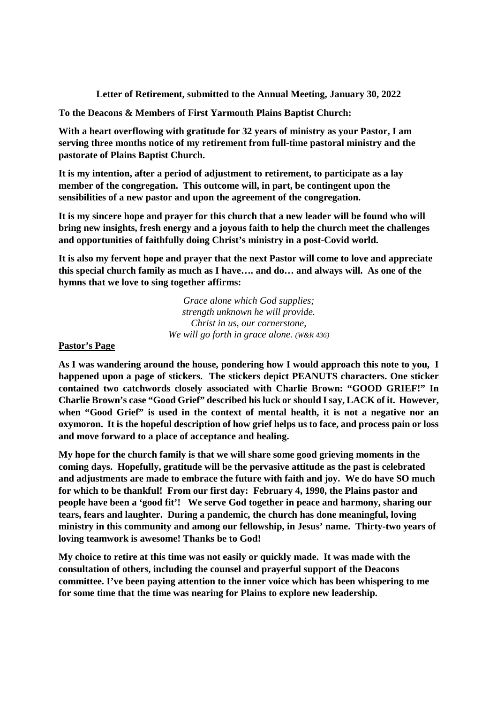**Letter of Retirement, submitted to the Annual Meeting, January 30, 2022**

**To the Deacons & Members of First Yarmouth Plains Baptist Church:**

**With a heart overflowing with gratitude for 32 years of ministry as your Pastor, I am serving three months notice of my retirement from full-time pastoral ministry and the pastorate of Plains Baptist Church.**

**It is my intention, after a period of adjustment to retirement, to participate as a lay member of the congregation. This outcome will, in part, be contingent upon the sensibilities of a new pastor and upon the agreement of the congregation.**

**It is my sincere hope and prayer for this church that a new leader will be found who will bring new insights, fresh energy and a joyous faith to help the church meet the challenges and opportunities of faithfully doing Christ's ministry in a post-Covid world.**

**It is also my fervent hope and prayer that the next Pastor will come to love and appreciate this special church family as much as I have…. and do… and always will. As one of the hymns that we love to sing together affirms:**

> *Grace alone which God supplies; strength unknown he will provide. Christ in us, our cornerstone, We will go forth in grace alone. (W&R 436)*

#### **Pastor's Page**

**As I was wandering around the house, pondering how I would approach this note to you, I happened upon a page of stickers. The stickers depict PEANUTS characters. One sticker contained two catchwords closely associated with Charlie Brown: "GOOD GRIEF!" In Charlie Brown's case "Good Grief" described his luck or should I say, LACK of it. However, when "Good Grief" is used in the context of mental health, it is not a negative nor an oxymoron. It is the hopeful description of how grief helps us to face, and process pain or loss and move forward to a place of acceptance and healing.**

**My hope for the church family is that we will share some good grieving moments in the coming days. Hopefully, gratitude will be the pervasive attitude as the past is celebrated and adjustments are made to embrace the future with faith and joy. We do have SO much for which to be thankful! From our first day: February 4, 1990, the Plains pastor and people have been a 'good fit'! We serve God together in peace and harmony, sharing our tears, fears and laughter. During a pandemic, the church has done meaningful, loving ministry in this community and among our fellowship, in Jesus' name. Thirty-two years of loving teamwork is awesome! Thanks be to God!**

**My choice to retire at this time was not easily or quickly made. It was made with the consultation of others, including the counsel and prayerful support of the Deacons committee. I've been paying attention to the inner voice which has been whispering to me for some time that the time was nearing for Plains to explore new leadership.**